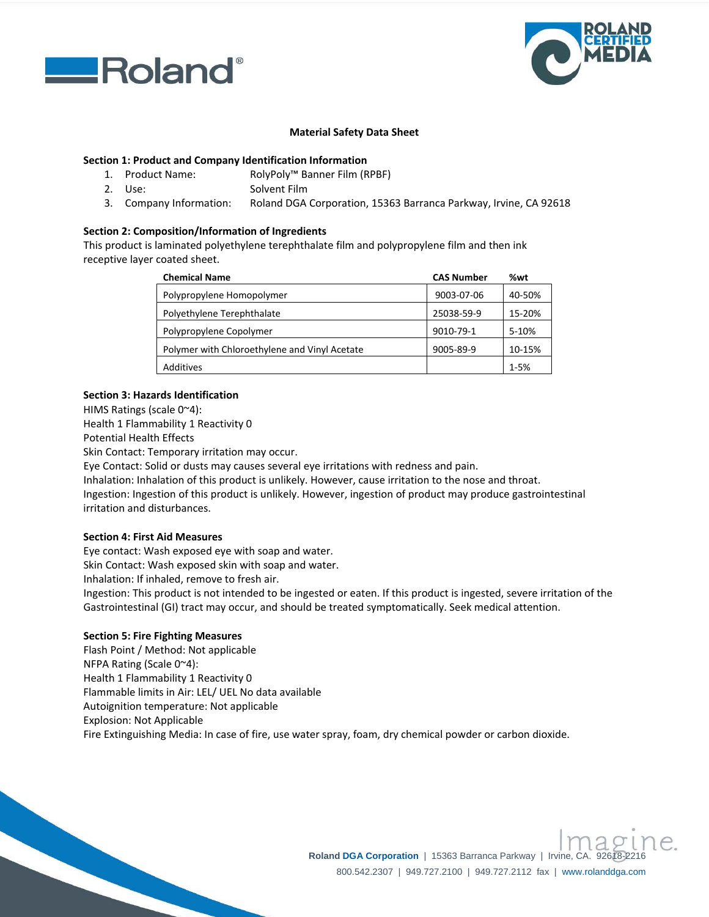



# **Material Safety Data Sheet**

# **Section 1: Product and Company Identification Information**

- 1. Product Name: RolyPoly™ Banner Film (RPBF)
- 2. Use: Solvent Film
- 3. Company Information: Roland DGA Corporation, 15363 Barranca Parkway, Irvine, CA 92618

### **Section 2: Composition/Information of Ingredients**

This product is laminated polyethylene terephthalate film and polypropylene film and then ink receptive layer coated sheet.

| <b>Chemical Name</b>                          | <b>CAS Number</b> | %wt      |
|-----------------------------------------------|-------------------|----------|
| Polypropylene Homopolymer                     | 9003-07-06        | 40-50%   |
| Polyethylene Terephthalate                    | 25038-59-9        | 15-20%   |
| Polypropylene Copolymer                       | 9010-79-1         | 5-10%    |
| Polymer with Chloroethylene and Vinyl Acetate | 9005-89-9         | 10-15%   |
| Additives                                     |                   | $1 - 5%$ |

### **Section 3: Hazards Identification**

HIMS Ratings (scale 0~4):

Health 1 Flammability 1 Reactivity 0

Potential Health Effects

Skin Contact: Temporary irritation may occur.

Eye Contact: Solid or dusts may causes several eye irritations with redness and pain.

Inhalation: Inhalation of this product is unlikely. However, cause irritation to the nose and throat.

Ingestion: Ingestion of this product is unlikely. However, ingestion of product may produce gastrointestinal irritation and disturbances.

# **Section 4: First Aid Measures**

Eye contact: Wash exposed eye with soap and water. Skin Contact: Wash exposed skin with soap and water.

Inhalation: If inhaled, remove to fresh air.

Ingestion: This product is not intended to be ingested or eaten. If this product is ingested, severe irritation of the Gastrointestinal (GI) tract may occur, and should be treated symptomatically. Seek medical attention.

#### **Section 5: Fire Fighting Measures**

Flash Point / Method: Not applicable NFPA Rating (Scale 0~4): Health 1 Flammability 1 Reactivity 0 Flammable limits in Air: LEL/ UEL No data available Autoignition temperature: Not applicable Explosion: Not Applicable Fire Extinguishing Media: In case of fire, use water spray, foam, dry chemical powder or carbon dioxide.

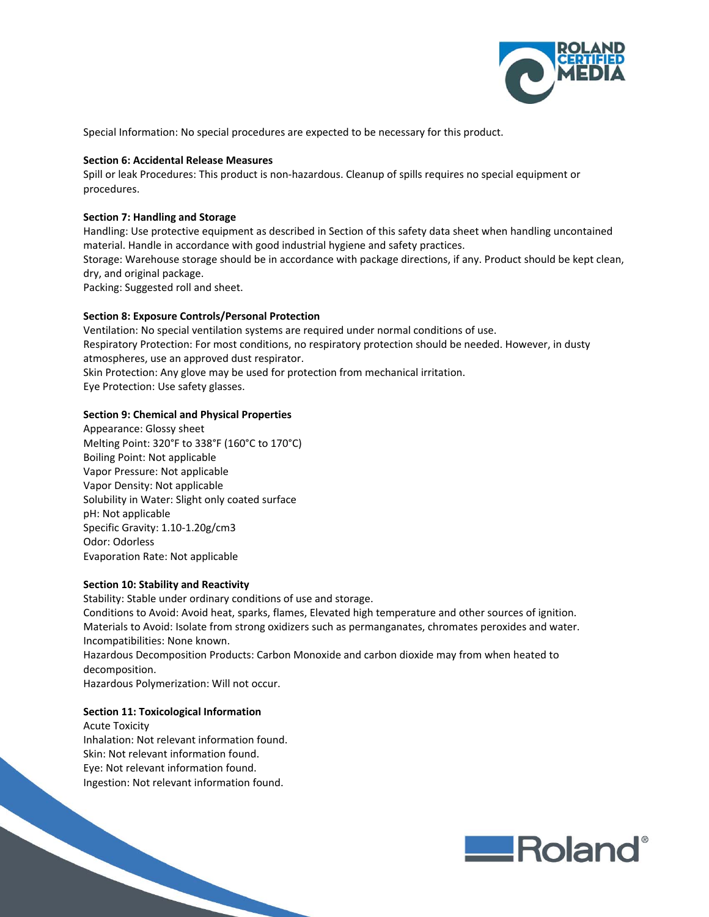

Special Information: No special procedures are expected to be necessary for this product.

## **Section 6: Accidental Release Measures**

Spill or leak Procedures: This product is non‐hazardous. Cleanup of spills requires no special equipment or procedures.

## **Section 7: Handling and Storage**

Handling: Use protective equipment as described in Section of this safety data sheet when handling uncontained material. Handle in accordance with good industrial hygiene and safety practices. Storage: Warehouse storage should be in accordance with package directions, if any. Product should be kept clean, dry, and original package. Packing: Suggested roll and sheet.

### **Section 8: Exposure Controls/Personal Protection**

Ventilation: No special ventilation systems are required under normal conditions of use. Respiratory Protection: For most conditions, no respiratory protection should be needed. However, in dusty atmospheres, use an approved dust respirator. Skin Protection: Any glove may be used for protection from mechanical irritation.

Eye Protection: Use safety glasses.

### **Section 9: Chemical and Physical Properties**

Appearance: Glossy sheet Melting Point: 320°F to 338°F (160°C to 170°C) Boiling Point: Not applicable Vapor Pressure: Not applicable Vapor Density: Not applicable Solubility in Water: Slight only coated surface pH: Not applicable Specific Gravity: 1.10‐1.20g/cm3 Odor: Odorless Evaporation Rate: Not applicable

#### **Section 10: Stability and Reactivity**

Stability: Stable under ordinary conditions of use and storage. Conditions to Avoid: Avoid heat, sparks, flames, Elevated high temperature and other sources of ignition. Materials to Avoid: Isolate from strong oxidizers such as permanganates, chromates peroxides and water. Incompatibilities: None known. Hazardous Decomposition Products: Carbon Monoxide and carbon dioxide may from when heated to decomposition. Hazardous Polymerization: Will not occur.

#### **Section 11: Toxicological Information**

Acute Toxicity Inhalation: Not relevant information found. Skin: Not relevant information found. Eye: Not relevant information found. Ingestion: Not relevant information found.

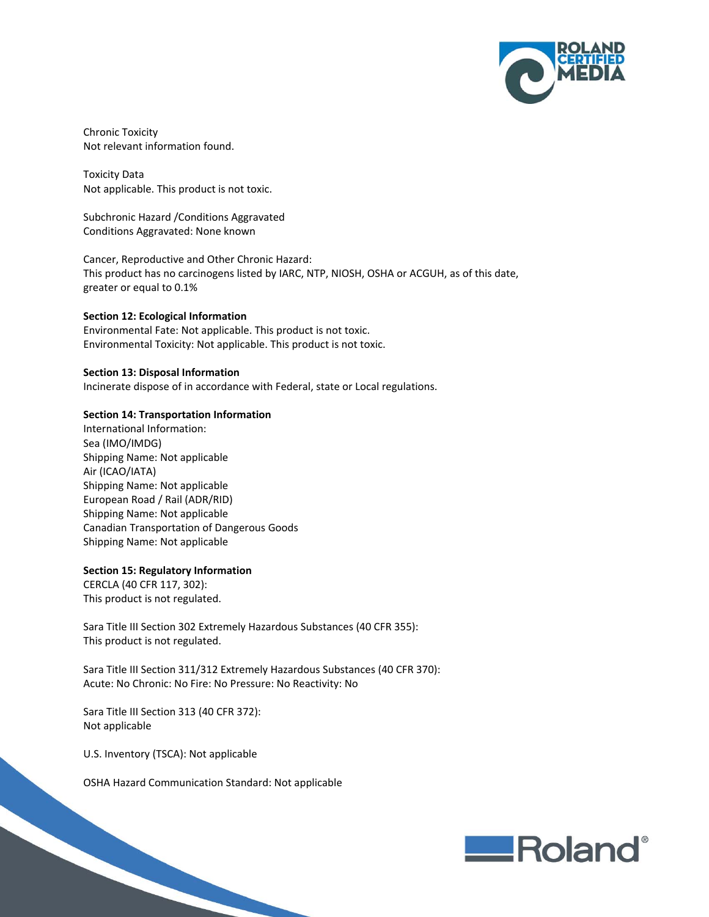

Chronic Toxicity Not relevant information found.

Toxicity Data Not applicable. This product is not toxic.

Subchronic Hazard /Conditions Aggravated Conditions Aggravated: None known

Cancer, Reproductive and Other Chronic Hazard: This product has no carcinogens listed by IARC, NTP, NIOSH, OSHA or ACGUH, as of this date, greater or equal to 0.1%

### **Section 12: Ecological Information**

Environmental Fate: Not applicable. This product is not toxic. Environmental Toxicity: Not applicable. This product is not toxic.

#### **Section 13: Disposal Information**

Incinerate dispose of in accordance with Federal, state or Local regulations.

### **Section 14: Transportation Information**

International Information: Sea (IMO/IMDG) Shipping Name: Not applicable Air (ICAO/IATA) Shipping Name: Not applicable European Road / Rail (ADR/RID) Shipping Name: Not applicable Canadian Transportation of Dangerous Goods Shipping Name: Not applicable

#### **Section 15: Regulatory Information**

CERCLA (40 CFR 117, 302): This product is not regulated.

Sara Title III Section 302 Extremely Hazardous Substances (40 CFR 355): This product is not regulated.

Sara Title III Section 311/312 Extremely Hazardous Substances (40 CFR 370): Acute: No Chronic: No Fire: No Pressure: No Reactivity: No

Sara Title III Section 313 (40 CFR 372): Not applicable

U.S. Inventory (TSCA): Not applicable

OSHA Hazard Communication Standard: Not applicable